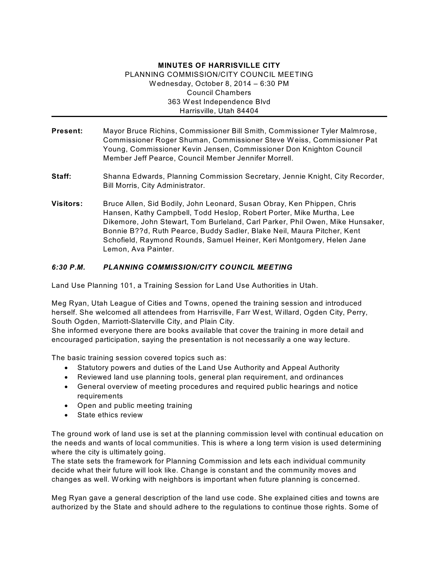## **MINUTES OF HARRISVILLE CITY** PLANNING COMMISSION/CITY COUNCIL MEETING Wednesday, October 8, 2014 – 6:30 PM Council Chambers 363 West Independence Blvd Harrisville, Utah 84404

- **Present:** Mayor Bruce Richins, Commissioner Bill Smith, Commissioner Tyler Malmrose, Commissioner Roger Shuman, Commissioner Steve Weiss, Commissioner Pat Young, Commissioner Kevin Jensen, Commissioner Don Knighton Council Member Jeff Pearce, Council Member Jennifer Morrell.
- **Staff:** Shanna Edwards, Planning Commission Secretary, Jennie Knight, City Recorder, Bill Morris, City Administrator.
- **Visitors:** Bruce Allen, Sid Bodily, John Leonard, Susan Obray, Ken Phippen, Chris Hansen, Kathy Campbell, Todd Heslop, Robert Porter, Mike Murtha, Lee Dikemore, John Stewart, Tom Burleland, Carl Parker, Phil Owen, Mike Hunsaker, Bonnie B??d, Ruth Pearce, Buddy Sadler, Blake Neil, Maura Pitcher, Kent Schofield, Raymond Rounds, Samuel Heiner, Keri Montgomery, Helen Jane Lemon, Ava Painter.

## *6:30 P.M. PLANNING COMMISSION/CITY COUNCIL MEETING*

Land Use Planning 101, a Training Session for Land Use Authorities in Utah.

Meg Ryan, Utah League of Cities and Towns, opened the training session and introduced herself. She welcomed all attendees from Harrisville, Farr West, Willard, Ogden City, Perry, South Ogden, Marriott-Slaterville City, and Plain City.

She informed everyone there are books available that cover the training in more detail and encouraged participation, saying the presentation is not necessarily a one way lecture.

The basic training session covered topics such as:

- · Statutory powers and duties of the Land Use Authority and Appeal Authority
- · Reviewed land use planning tools, general plan requirement, and ordinances
- · General overview of meeting procedures and required public hearings and notice requirements
- · Open and public meeting training
- · State ethics review

The ground work of land use is set at the planning commission level with continual education on the needs and wants of local communities. This is where a long term vision is used determining where the city is ultimately going.

The state sets the framework for Planning Commission and lets each individual community decide what their future will look like. Change is constant and the community moves and changes as well. Working with neighbors is important when future planning is concerned.

Meg Ryan gave a general description of the land use code. She explained cities and towns are authorized by the State and should adhere to the regulations to continue those rights. Some of